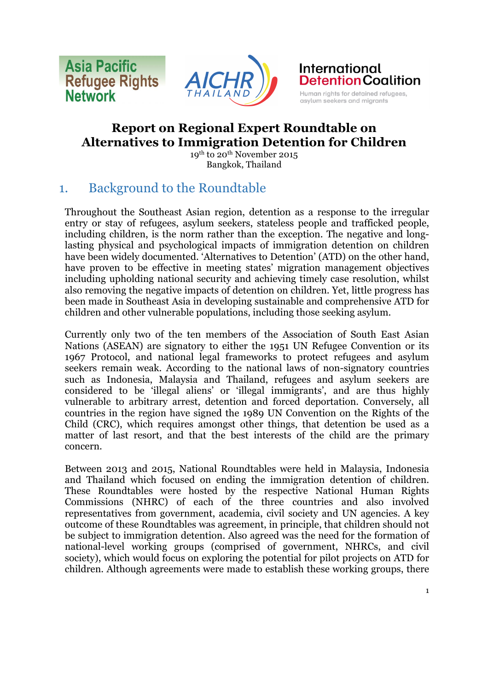**Asia Pacific Refugee Rights Network** 





# **Report on Regional Expert Roundtable on Alternatives to Immigration Detention for Children**

19th to 20th November 2015 Bangkok, Thailand

# 1. Background to the Roundtable

Throughout the Southeast Asian region, detention as a response to the irregular entry or stay of refugees, asylum seekers, stateless people and trafficked people, including children, is the norm rather than the exception. The negative and longlasting physical and psychological impacts of immigration detention on children have been widely documented. 'Alternatives to Detention' (ATD) on the other hand, have proven to be effective in meeting states' migration management objectives including upholding national security and achieving timely case resolution, whilst also removing the negative impacts of detention on children. Yet, little progress has been made in Southeast Asia in developing sustainable and comprehensive ATD for children and other vulnerable populations, including those seeking asylum.

Currently only two of the ten members of the Association of South East Asian Nations (ASEAN) are signatory to either the 1951 UN Refugee Convention or its 1967 Protocol, and national legal frameworks to protect refugees and asylum seekers remain weak. According to the national laws of non-signatory countries such as Indonesia, Malaysia and Thailand, refugees and asylum seekers are considered to be 'illegal aliens' or 'illegal immigrants', and are thus highly vulnerable to arbitrary arrest, detention and forced deportation. Conversely, all countries in the region have signed the 1989 UN Convention on the Rights of the Child (CRC), which requires amongst other things, that detention be used as a matter of last resort, and that the best interests of the child are the primary concern.

Between 2013 and 2015, National Roundtables were held in Malaysia, Indonesia and Thailand which focused on ending the immigration detention of children. These Roundtables were hosted by the respective National Human Rights Commissions (NHRC) of each of the three countries and also involved representatives from government, academia, civil society and UN agencies. A key outcome of these Roundtables was agreement, in principle, that children should not be subject to immigration detention. Also agreed was the need for the formation of national-level working groups (comprised of government, NHRCs, and civil society), which would focus on exploring the potential for pilot projects on ATD for children. Although agreements were made to establish these working groups, there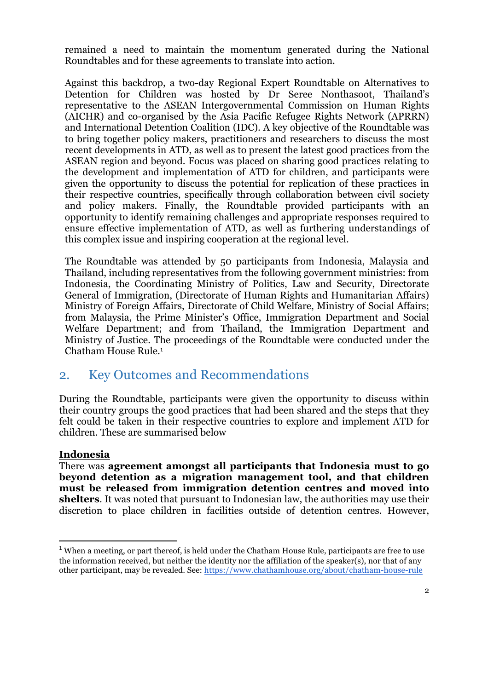remained a need to maintain the momentum generated during the National Roundtables and for these agreements to translate into action.

Against this backdrop, a two-day Regional Expert Roundtable on Alternatives to Detention for Children was hosted by Dr Seree Nonthasoot, Thailand's representative to the ASEAN Intergovernmental Commission on Human Rights (AICHR) and co-organised by the Asia Pacific Refugee Rights Network (APRRN) and International Detention Coalition (IDC). A key objective of the Roundtable was to bring together policy makers, practitioners and researchers to discuss the most recent developments in ATD, as well as to present the latest good practices from the ASEAN region and beyond. Focus was placed on sharing good practices relating to the development and implementation of ATD for children, and participants were given the opportunity to discuss the potential for replication of these practices in their respective countries, specifically through collaboration between civil society and policy makers. Finally, the Roundtable provided participants with an opportunity to identify remaining challenges and appropriate responses required to ensure effective implementation of ATD, as well as furthering understandings of this complex issue and inspiring cooperation at the regional level.

The Roundtable was attended by 50 participants from Indonesia, Malaysia and Thailand, including representatives from the following government ministries: from Indonesia, the Coordinating Ministry of Politics, Law and Security, Directorate General of Immigration, (Directorate of Human Rights and Humanitarian Affairs) Ministry of Foreign Affairs, Directorate of Child Welfare, Ministry of Social Affairs; from Malaysia, the Prime Minister's Office, Immigration Department and Social Welfare Department; and from Thailand, the Immigration Department and Ministry of Justice. The proceedings of the Roundtable were conducted under the Chatham House Rule.1

## 2. Key Outcomes and Recommendations

During the Roundtable, participants were given the opportunity to discuss within their country groups the good practices that had been shared and the steps that they felt could be taken in their respective countries to explore and implement ATD for children. These are summarised below

#### **Indonesia**

<u> 1989 - Jan Samuel Barbara, margaret e</u>

There was **agreement amongst all participants that Indonesia must to go beyond detention as a migration management tool, and that children must be released from immigration detention centres and moved into shelters**. It was noted that pursuant to Indonesian law, the authorities may use their discretion to place children in facilities outside of detention centres. However,

 $1$  When a meeting, or part thereof, is held under the Chatham House Rule, participants are free to use the information received, but neither the identity nor the affiliation of the speaker(s), nor that of any other participant, may be revealed. See: https://www.chathamhouse.org/about/chatham-house-rule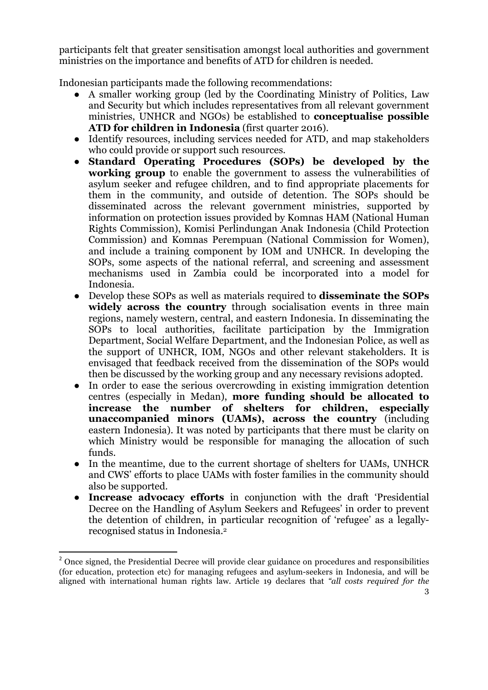participants felt that greater sensitisation amongst local authorities and government ministries on the importance and benefits of ATD for children is needed.

Indonesian participants made the following recommendations:

- A smaller working group (led by the Coordinating Ministry of Politics, Law and Security but which includes representatives from all relevant government ministries, UNHCR and NGOs) be established to **conceptualise possible ATD for children in Indonesia** (first quarter 2016).
- Identify resources, including services needed for ATD, and map stakeholders who could provide or support such resources.
- **Standard Operating Procedures (SOPs) be developed by the working group** to enable the government to assess the vulnerabilities of asylum seeker and refugee children, and to find appropriate placements for them in the community, and outside of detention. The SOPs should be disseminated across the relevant government ministries, supported by information on protection issues provided by Komnas HAM (National Human Rights Commission), Komisi Perlindungan Anak Indonesia (Child Protection Commission) and Komnas Perempuan (National Commission for Women), and include a training component by IOM and UNHCR. In developing the SOPs, some aspects of the national referral, and screening and assessment mechanisms used in Zambia could be incorporated into a model for Indonesia.
- Develop these SOPs as well as materials required to **disseminate the SOPs**  widely across the country through socialisation events in three main regions, namely western, central, and eastern Indonesia. In disseminating the SOPs to local authorities, facilitate participation by the Immigration Department, Social Welfare Department, and the Indonesian Police, as well as the support of UNHCR, IOM, NGOs and other relevant stakeholders. It is envisaged that feedback received from the dissemination of the SOPs would then be discussed by the working group and any necessary revisions adopted.
- In order to ease the serious overcrowding in existing immigration detention centres (especially in Medan), **more funding should be allocated to increase the number of shelters for children, especially unaccompanied minors (UAMs), across the country** (including eastern Indonesia). It was noted by participants that there must be clarity on which Ministry would be responsible for managing the allocation of such funds.
- In the meantime, due to the current shortage of shelters for UAMs, UNHCR and CWS' efforts to place UAMs with foster families in the community should also be supported.
- **Increase advocacy efforts** in conjunction with the draft 'Presidential Decree on the Handling of Asylum Seekers and Refugees' in order to prevent the detention of children, in particular recognition of 'refugee' as a legallyrecognised status in Indonesia.2

<u> 1989 - Jan Samuel Barbara, margaret e</u>

<sup>&</sup>lt;sup>2</sup> Once signed, the Presidential Decree will provide clear guidance on procedures and responsibilities (for education, protection etc) for managing refugees and asylum-seekers in Indonesia, and will be aligned with international human rights law. Article 19 declares that *"all costs required for the*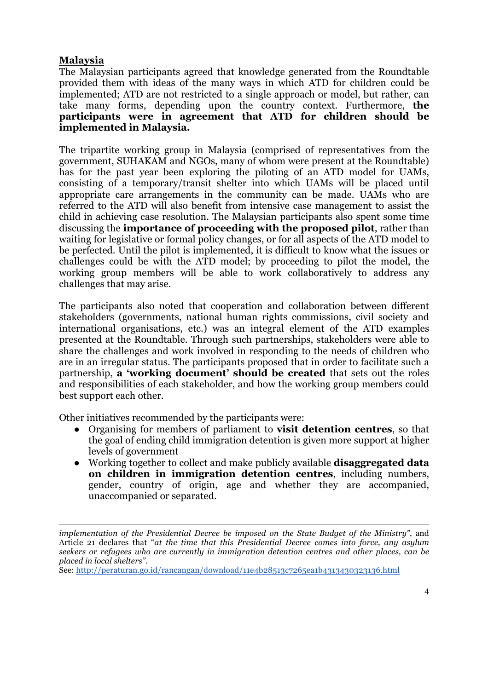#### **Malaysia**

The Malaysian participants agreed that knowledge generated from the Roundtable provided them with ideas of the many ways in which ATD for children could be implemented; ATD are not restricted to a single approach or model, but rather, can take many forms, depending upon the country context. Furthermore, **the participants were in agreement that ATD for children should be implemented in Malaysia.**

The tripartite working group in Malaysia (comprised of representatives from the government, SUHAKAM and NGOs, many of whom were present at the Roundtable) has for the past year been exploring the piloting of an ATD model for UAMs, consisting of a temporary/transit shelter into which UAMs will be placed until appropriate care arrangements in the community can be made. UAMs who are referred to the ATD will also benefit from intensive case management to assist the child in achieving case resolution. The Malaysian participants also spent some time discussing the **importance of proceeding with the proposed pilot**, rather than waiting for legislative or formal policy changes, or for all aspects of the ATD model to be perfected. Until the pilot is implemented, it is difficult to know what the issues or challenges could be with the ATD model; by proceeding to pilot the model, the working group members will be able to work collaboratively to address any challenges that may arise.

The participants also noted that cooperation and collaboration between different stakeholders (governments, national human rights commissions, civil society and international organisations, etc.) was an integral element of the ATD examples presented at the Roundtable. Through such partnerships, stakeholders were able to share the challenges and work involved in responding to the needs of children who are in an irregular status. The participants proposed that in order to facilitate such a partnership, **a 'working document' should be created** that sets out the roles and responsibilities of each stakeholder, and how the working group members could best support each other.

Other initiatives recommended by the participants were:

- Organising for members of parliament to **visit detention centres**, so that the goal of ending child immigration detention is given more support at higher levels of government
- Working together to collect and make publicly available **disaggregated data on children in immigration detention centres**, including numbers, gender, country of origin, age and whether they are accompanied, unaccompanied or separated.

<u> 1989 - Andrea Santa Andrea Andrea Andrea Andrea Andrea Andrea Andrea Andrea Andrea Andrea Andrea Andrea Andr</u>

*implementation of the Presidential Decree be imposed on the State Budget of the Ministry"*, and Article 21 declares that "*at the time that this Presidential Decree comes into force, any asylum seekers or refugees who are currently in immigration detention centres and other places, can be placed in local shelters"*.

See: http://peraturan.go.id/rancangan/download/11e4b28513c7265ea1b4313430323136.html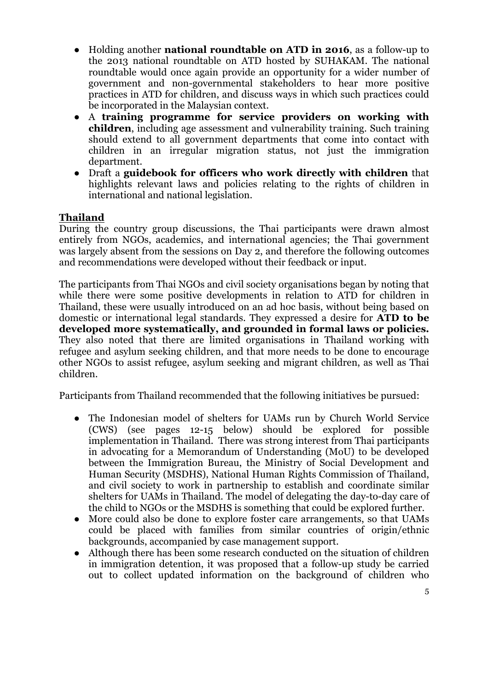- Holding another **national roundtable on ATD in 2016**, as a follow-up to the 2013 national roundtable on ATD hosted by SUHAKAM. The national roundtable would once again provide an opportunity for a wider number of government and non-governmental stakeholders to hear more positive practices in ATD for children, and discuss ways in which such practices could be incorporated in the Malaysian context.
- A **training programme for service providers on working with children**, including age assessment and vulnerability training. Such training should extend to all government departments that come into contact with children in an irregular migration status, not just the immigration department.
- Draft a **guidebook for officers who work directly with children** that highlights relevant laws and policies relating to the rights of children in international and national legislation.

## **Thailand**

During the country group discussions, the Thai participants were drawn almost entirely from NGOs, academics, and international agencies; the Thai government was largely absent from the sessions on Day 2, and therefore the following outcomes and recommendations were developed without their feedback or input.

The participants from Thai NGOs and civil society organisations began by noting that while there were some positive developments in relation to ATD for children in Thailand, these were usually introduced on an ad hoc basis, without being based on domestic or international legal standards. They expressed a desire for **ATD to be developed more systematically, and grounded in formal laws or policies.** They also noted that there are limited organisations in Thailand working with refugee and asylum seeking children, and that more needs to be done to encourage other NGOs to assist refugee, asylum seeking and migrant children, as well as Thai children.

Participants from Thailand recommended that the following initiatives be pursued:

- The Indonesian model of shelters for UAMs run by Church World Service (CWS) (see pages 12-15 below) should be explored for possible implementation in Thailand. There was strong interest from Thai participants in advocating for a Memorandum of Understanding (MoU) to be developed between the Immigration Bureau, the Ministry of Social Development and Human Security (MSDHS), National Human Rights Commission of Thailand, and civil society to work in partnership to establish and coordinate similar shelters for UAMs in Thailand. The model of delegating the day-to-day care of the child to NGOs or the MSDHS is something that could be explored further.
- More could also be done to explore foster care arrangements, so that UAMs could be placed with families from similar countries of origin/ethnic backgrounds, accompanied by case management support.
- Although there has been some research conducted on the situation of children in immigration detention, it was proposed that a follow-up study be carried out to collect updated information on the background of children who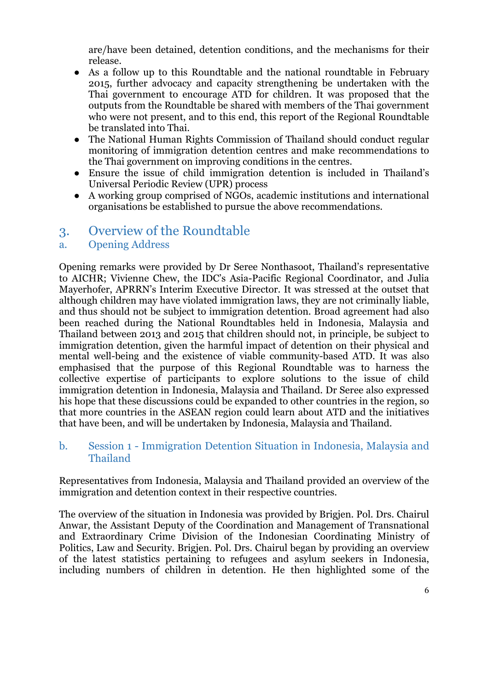are/have been detained, detention conditions, and the mechanisms for their release.

- As a follow up to this Roundtable and the national roundtable in February 2015, further advocacy and capacity strengthening be undertaken with the Thai government to encourage ATD for children. It was proposed that the outputs from the Roundtable be shared with members of the Thai government who were not present, and to this end, this report of the Regional Roundtable be translated into Thai.
- The National Human Rights Commission of Thailand should conduct regular monitoring of immigration detention centres and make recommendations to the Thai government on improving conditions in the centres.
- Ensure the issue of child immigration detention is included in Thailand's Universal Periodic Review (UPR) process
- A working group comprised of NGOs, academic institutions and international organisations be established to pursue the above recommendations.

## 3. Overview of the Roundtable

## a. Opening Address

Opening remarks were provided by Dr Seree Nonthasoot, Thailand's representative to AICHR; Vivienne Chew, the IDC's Asia-Pacific Regional Coordinator, and Julia Mayerhofer, APRRN's Interim Executive Director. It was stressed at the outset that although children may have violated immigration laws, they are not criminally liable, and thus should not be subject to immigration detention. Broad agreement had also been reached during the National Roundtables held in Indonesia, Malaysia and Thailand between 2013 and 2015 that children should not, in principle, be subject to immigration detention, given the harmful impact of detention on their physical and mental well-being and the existence of viable community-based ATD. It was also emphasised that the purpose of this Regional Roundtable was to harness the collective expertise of participants to explore solutions to the issue of child immigration detention in Indonesia, Malaysia and Thailand. Dr Seree also expressed his hope that these discussions could be expanded to other countries in the region, so that more countries in the ASEAN region could learn about ATD and the initiatives that have been, and will be undertaken by Indonesia, Malaysia and Thailand.

## b. Session 1 - Immigration Detention Situation in Indonesia, Malaysia and Thailand

Representatives from Indonesia, Malaysia and Thailand provided an overview of the immigration and detention context in their respective countries.

The overview of the situation in Indonesia was provided by Brigjen. Pol. Drs. Chairul Anwar, the Assistant Deputy of the Coordination and Management of Transnational and Extraordinary Crime Division of the Indonesian Coordinating Ministry of Politics, Law and Security. Brigjen. Pol. Drs. Chairul began by providing an overview of the latest statistics pertaining to refugees and asylum seekers in Indonesia, including numbers of children in detention. He then highlighted some of the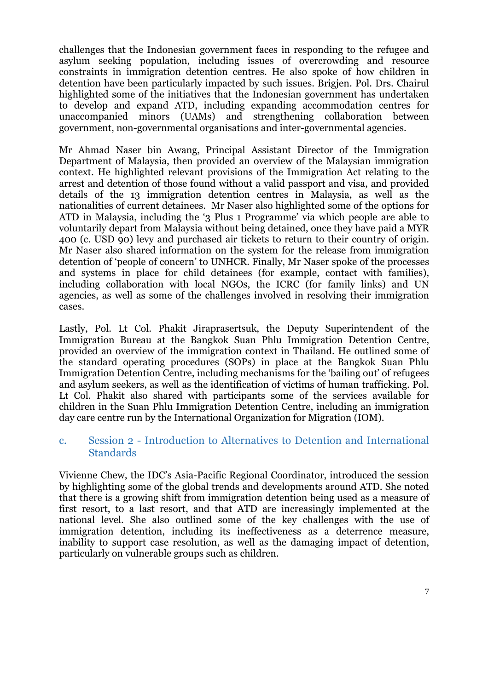challenges that the Indonesian government faces in responding to the refugee and asylum seeking population, including issues of overcrowding and resource constraints in immigration detention centres. He also spoke of how children in detention have been particularly impacted by such issues. Brigjen. Pol. Drs. Chairul highlighted some of the initiatives that the Indonesian government has undertaken to develop and expand ATD, including expanding accommodation centres for unaccompanied minors (UAMs) and strengthening collaboration between government, non-governmental organisations and inter-governmental agencies.

Mr Ahmad Naser bin Awang, Principal Assistant Director of the Immigration Department of Malaysia, then provided an overview of the Malaysian immigration context. He highlighted relevant provisions of the Immigration Act relating to the arrest and detention of those found without a valid passport and visa, and provided details of the 13 immigration detention centres in Malaysia, as well as the nationalities of current detainees. Mr Naser also highlighted some of the options for ATD in Malaysia, including the '3 Plus 1 Programme' via which people are able to voluntarily depart from Malaysia without being detained, once they have paid a MYR 400 (c. USD 90) levy and purchased air tickets to return to their country of origin. Mr Naser also shared information on the system for the release from immigration detention of 'people of concern' to UNHCR. Finally, Mr Naser spoke of the processes and systems in place for child detainees (for example, contact with families), including collaboration with local NGOs, the ICRC (for family links) and UN agencies, as well as some of the challenges involved in resolving their immigration cases.

Lastly, Pol. Lt Col. Phakit Jiraprasertsuk, the Deputy Superintendent of the Immigration Bureau at the Bangkok Suan Phlu Immigration Detention Centre, provided an overview of the immigration context in Thailand. He outlined some of the standard operating procedures (SOPs) in place at the Bangkok Suan Phlu Immigration Detention Centre, including mechanisms for the 'bailing out' of refugees and asylum seekers, as well as the identification of victims of human trafficking. Pol. Lt Col. Phakit also shared with participants some of the services available for children in the Suan Phlu Immigration Detention Centre, including an immigration day care centre run by the International Organization for Migration (IOM).

#### c. Session 2 - Introduction to Alternatives to Detention and International **Standards**

Vivienne Chew, the IDC's Asia-Pacific Regional Coordinator, introduced the session by highlighting some of the global trends and developments around ATD. She noted that there is a growing shift from immigration detention being used as a measure of first resort, to a last resort, and that ATD are increasingly implemented at the national level. She also outlined some of the key challenges with the use of immigration detention, including its ineffectiveness as a deterrence measure, inability to support case resolution, as well as the damaging impact of detention, particularly on vulnerable groups such as children.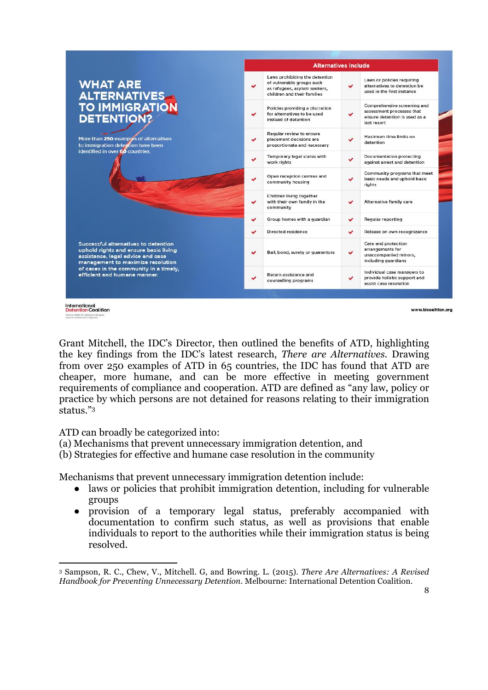|                                                                                                                                                                                                                                   | <b>Alternatives Include</b> |                                                                                                                            |              |                                                                                                          |
|-----------------------------------------------------------------------------------------------------------------------------------------------------------------------------------------------------------------------------------|-----------------------------|----------------------------------------------------------------------------------------------------------------------------|--------------|----------------------------------------------------------------------------------------------------------|
| <b>WHAT ARE</b><br><b>ALTERNATIVES</b><br><b>TO IMMIGRATION</b><br><b>DETENTION?</b>                                                                                                                                              | ✔                           | Laws prohibiting the detention<br>of vulnerable groups such<br>as refugees, asylum seekers,<br>children and their families | $\checkmark$ | Laws or policies requiring<br>alternatives to detention be<br>used in the first instance                 |
|                                                                                                                                                                                                                                   | u                           | Policies providing a discretion<br>for alternatives to be used<br>instead of detention                                     | $\checkmark$ | Comprehensive screening and<br>assessment processes that<br>ensure detention is used as a<br>last resort |
| More than 250 examples of alternatives<br>to immigration detention have been<br>identified in over 60 countries.                                                                                                                  | ✔                           | Regular review to ensure<br>placement decisions are<br>proportionate and necessary                                         | v            | Maximum time limits on<br>detention                                                                      |
|                                                                                                                                                                                                                                   | u                           | Temporary legal status with<br>work rights                                                                                 | Ō.           | <b>Documentation protecting</b><br>against arrest and detention                                          |
|                                                                                                                                                                                                                                   | ✔                           | Open reception centres and<br>community housing                                                                            | v            | Community programs that meet<br>basic needs and uphold basic<br>rights                                   |
|                                                                                                                                                                                                                                   | v                           | Children living together<br>with their own family in the<br>community                                                      | ✔            | Alternative family care                                                                                  |
|                                                                                                                                                                                                                                   | v                           | Group homes with a guardian                                                                                                | $\checkmark$ | <b>Regular reporting</b>                                                                                 |
|                                                                                                                                                                                                                                   | v                           | Directed residence                                                                                                         | v            | Release on own recognizance                                                                              |
| Successful alternatives to detention<br>uphold rights and ensure basic living<br>assistance, legal advice and case<br>management to maximize resolution<br>of cases in the community in a timely,<br>efficient and humane manner. | v                           | Bail, bond, surety or guarantors                                                                                           | $\checkmark$ | Care and protection<br>arrangements for<br>unaccompanied minors,<br>including guardians                  |
|                                                                                                                                                                                                                                   |                             | Return assistance and<br>counselling programs                                                                              | ✓            | Individual case managers to<br>provide holistic support and<br>assist case resolution                    |

International<br>DetentionCoalition

www.idcoalition.org

Grant Mitchell, the IDC's Director, then outlined the benefits of ATD, highlighting the key findings from the IDC's latest research, *There are Alternatives*. Drawing from over 250 examples of ATD in 65 countries, the IDC has found that ATD are cheaper, more humane, and can be more effective in meeting government requirements of compliance and cooperation. ATD are defined as "any law, policy or practice by which persons are not detained for reasons relating to their immigration status."3

ATD can broadly be categorized into:

 

- (a) Mechanisms that prevent unnecessary immigration detention, and
- (b) Strategies for effective and humane case resolution in the community

Mechanisms that prevent unnecessary immigration detention include:

- laws or policies that prohibit immigration detention, including for vulnerable groups
- provision of a temporary legal status, preferably accompanied with documentation to confirm such status, as well as provisions that enable individuals to report to the authorities while their immigration status is being resolved.

<sup>3</sup> Sampson, R. C., Chew, V., Mitchell. G, and Bowring. L. (2015). *There Are Alternatives: A Revised Handbook for Preventing Unnecessary Detention*. Melbourne: International Detention Coalition.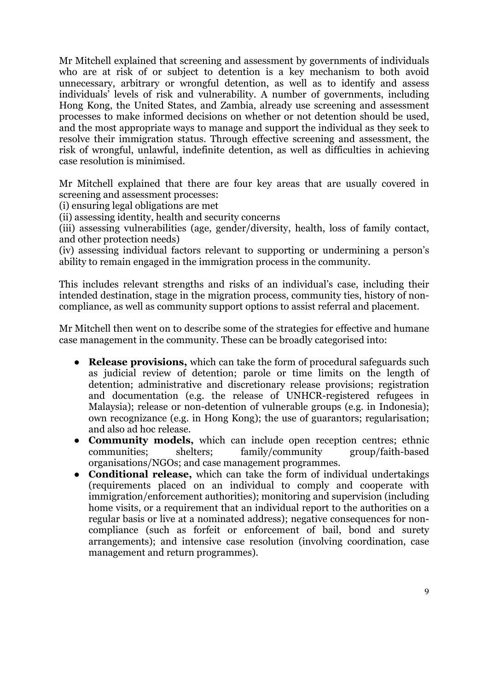Mr Mitchell explained that screening and assessment by governments of individuals who are at risk of or subject to detention is a key mechanism to both avoid unnecessary, arbitrary or wrongful detention, as well as to identify and assess individuals' levels of risk and vulnerability. A number of governments, including Hong Kong, the United States, and Zambia, already use screening and assessment processes to make informed decisions on whether or not detention should be used, and the most appropriate ways to manage and support the individual as they seek to resolve their immigration status. Through effective screening and assessment, the risk of wrongful, unlawful, indefinite detention, as well as difficulties in achieving case resolution is minimised.

Mr Mitchell explained that there are four key areas that are usually covered in screening and assessment processes:

(i) ensuring legal obligations are met

(ii) assessing identity, health and security concerns

(iii) assessing vulnerabilities (age, gender/diversity, health, loss of family contact, and other protection needs)

(iv) assessing individual factors relevant to supporting or undermining a person's ability to remain engaged in the immigration process in the community.

This includes relevant strengths and risks of an individual's case, including their intended destination, stage in the migration process, community ties, history of noncompliance, as well as community support options to assist referral and placement.

Mr Mitchell then went on to describe some of the strategies for effective and humane case management in the community. These can be broadly categorised into:

- **Release provisions,** which can take the form of procedural safeguards such as judicial review of detention; parole or time limits on the length of detention; administrative and discretionary release provisions; registration and documentation (e.g. the release of UNHCR-registered refugees in Malaysia); release or non-detention of vulnerable groups (e.g. in Indonesia); own recognizance (e.g. in Hong Kong); the use of guarantors; regularisation; and also ad hoc release.
- **Community models,** which can include open reception centres; ethnic communities; shelters; family/community group/faith-based organisations/NGOs; and case management programmes.
- **Conditional release,** which can take the form of individual undertakings (requirements placed on an individual to comply and cooperate with immigration/enforcement authorities); monitoring and supervision (including home visits, or a requirement that an individual report to the authorities on a regular basis or live at a nominated address); negative consequences for noncompliance (such as forfeit or enforcement of bail, bond and surety arrangements); and intensive case resolution (involving coordination, case management and return programmes).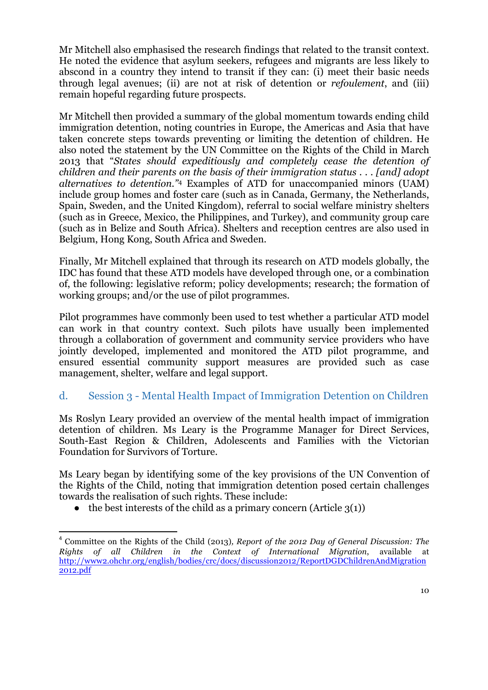Mr Mitchell also emphasised the research findings that related to the transit context. He noted the evidence that asylum seekers, refugees and migrants are less likely to abscond in a country they intend to transit if they can: (i) meet their basic needs through legal avenues; (ii) are not at risk of detention or *refoulement*, and (iii) remain hopeful regarding future prospects.

Mr Mitchell then provided a summary of the global momentum towards ending child immigration detention, noting countries in Europe, the Americas and Asia that have taken concrete steps towards preventing or limiting the detention of children. He also noted the statement by the UN Committee on the Rights of the Child in March 2013 that "*States should expeditiously and completely cease the detention of children and their parents on the basis of their immigration status . . . [and] adopt alternatives to detention."*<sup>4</sup> Examples of ATD for unaccompanied minors (UAM) include group homes and foster care (such as in Canada, Germany, the Netherlands, Spain, Sweden, and the United Kingdom), referral to social welfare ministry shelters (such as in Greece, Mexico, the Philippines, and Turkey), and community group care (such as in Belize and South Africa). Shelters and reception centres are also used in Belgium, Hong Kong, South Africa and Sweden.

Finally, Mr Mitchell explained that through its research on ATD models globally, the IDC has found that these ATD models have developed through one, or a combination of, the following: legislative reform; policy developments; research; the formation of working groups; and/or the use of pilot programmes.

Pilot programmes have commonly been used to test whether a particular ATD model can work in that country context. Such pilots have usually been implemented through a collaboration of government and community service providers who have jointly developed, implemented and monitored the ATD pilot programme, and ensured essential community support measures are provided such as case management, shelter, welfare and legal support.

## d. Session 3 - Mental Health Impact of Immigration Detention on Children

Ms Roslyn Leary provided an overview of the mental health impact of immigration detention of children. Ms Leary is the Programme Manager for Direct Services, South-East Region & Children, Adolescents and Families with the Victorian Foundation for Survivors of Torture.

Ms Leary began by identifying some of the key provisions of the UN Convention of the Rights of the Child, noting that immigration detention posed certain challenges towards the realisation of such rights. These include:

 $\bullet$  the best interests of the child as a primary concern (Article 3(1))

<u> 1989 - Jan Samuel Barbara, margaret e</u>

<sup>4</sup> Committee on the Rights of the Child (2013)*, Report of the 2012 Day of General Discussion: The Rights of all Children in the Context of International Migration*, available at http://www2.ohchr.org/english/bodies/crc/docs/discussion2012/ReportDGDChildrenAndMigration 2012.pdf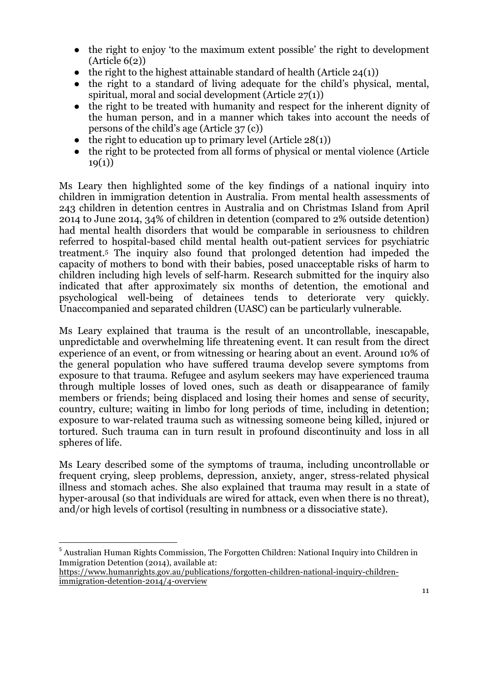- the right to enjoy 'to the maximum extent possible' the right to development (Article 6(2))
- $\bullet$  the right to the highest attainable standard of health (Article 24(1))
- the right to a standard of living adequate for the child's physical, mental, spiritual, moral and social development (Article 27(1))
- the right to be treated with humanity and respect for the inherent dignity of the human person, and in a manner which takes into account the needs of persons of the child's age (Article 37 (c))
- $\bullet$  the right to education up to primary level (Article 28(1))
- the right to be protected from all forms of physical or mental violence (Article  $19(1)$

Ms Leary then highlighted some of the key findings of a national inquiry into children in immigration detention in Australia. From mental health assessments of 243 children in detention centres in Australia and on Christmas Island from April 2014 to June 2014, 34% of children in detention (compared to 2% outside detention) had mental health disorders that would be comparable in seriousness to children referred to hospital-based child mental health out-patient services for psychiatric treatment.5 The inquiry also found that prolonged detention had impeded the capacity of mothers to bond with their babies, posed unacceptable risks of harm to children including high levels of self-harm. Research submitted for the inquiry also indicated that after approximately six months of detention, the emotional and psychological well-being of detainees tends to deteriorate very quickly. Unaccompanied and separated children (UASC) can be particularly vulnerable.

Ms Leary explained that trauma is the result of an uncontrollable, inescapable, unpredictable and overwhelming life threatening event. It can result from the direct experience of an event, or from witnessing or hearing about an event. Around 10% of the general population who have suffered trauma develop severe symptoms from exposure to that trauma. Refugee and asylum seekers may have experienced trauma through multiple losses of loved ones, such as death or disappearance of family members or friends; being displaced and losing their homes and sense of security, country, culture; waiting in limbo for long periods of time, including in detention; exposure to war-related trauma such as witnessing someone being killed, injured or tortured. Such trauma can in turn result in profound discontinuity and loss in all spheres of life.

Ms Leary described some of the symptoms of trauma, including uncontrollable or frequent crying, sleep problems, depression, anxiety, anger, stress-related physical illness and stomach aches. She also explained that trauma may result in a state of hyper-arousal (so that individuals are wired for attack, even when there is no threat), and/or high levels of cortisol (resulting in numbness or a dissociative state).

<u> 1989 - Jan Samuel Barbara, margaret e</u>

<sup>5</sup> Australian Human Rights Commission, The Forgotten Children: National Inquiry into Children in Immigration Detention (2014), available at:

https://www.humanrights.gov.au/publications/forgotten-children-national-inquiry-childrenimmigration-detention-2014/4-overview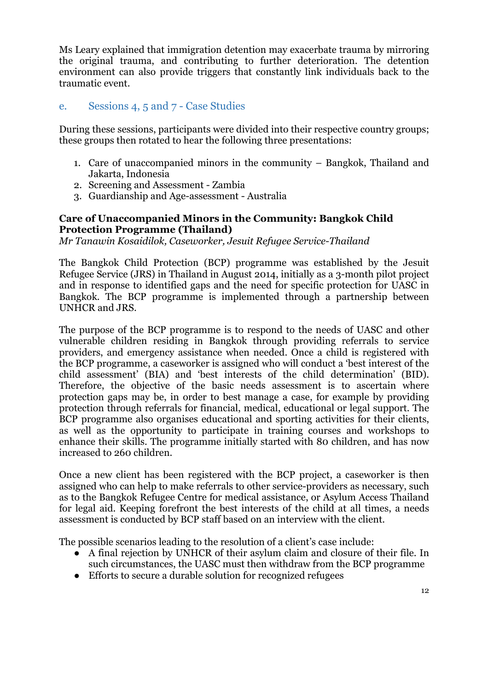Ms Leary explained that immigration detention may exacerbate trauma by mirroring the original trauma, and contributing to further deterioration. The detention environment can also provide triggers that constantly link individuals back to the traumatic event.

### e. Sessions 4, 5 and 7 - Case Studies

During these sessions, participants were divided into their respective country groups; these groups then rotated to hear the following three presentations:

- 1. Care of unaccompanied minors in the community Bangkok, Thailand and Jakarta, Indonesia
- 2. Screening and Assessment Zambia
- 3. Guardianship and Age-assessment Australia

#### **Care of Unaccompanied Minors in the Community: Bangkok Child Protection Programme (Thailand)**

*Mr Tanawin Kosaidilok, Caseworker, Jesuit Refugee Service-Thailand*

The Bangkok Child Protection (BCP) programme was established by the Jesuit Refugee Service (JRS) in Thailand in August 2014, initially as a 3-month pilot project and in response to identified gaps and the need for specific protection for UASC in Bangkok. The BCP programme is implemented through a partnership between UNHCR and JRS.

The purpose of the BCP programme is to respond to the needs of UASC and other vulnerable children residing in Bangkok through providing referrals to service providers, and emergency assistance when needed. Once a child is registered with the BCP programme, a caseworker is assigned who will conduct a 'best interest of the child assessment' (BIA) and 'best interests of the child determination' (BID). Therefore, the objective of the basic needs assessment is to ascertain where protection gaps may be, in order to best manage a case, for example by providing protection through referrals for financial, medical, educational or legal support. The BCP programme also organises educational and sporting activities for their clients, as well as the opportunity to participate in training courses and workshops to enhance their skills. The programme initially started with 80 children, and has now increased to 260 children.

Once a new client has been registered with the BCP project, a caseworker is then assigned who can help to make referrals to other service-providers as necessary, such as to the Bangkok Refugee Centre for medical assistance, or Asylum Access Thailand for legal aid. Keeping forefront the best interests of the child at all times, a needs assessment is conducted by BCP staff based on an interview with the client.

The possible scenarios leading to the resolution of a client's case include:

- A final rejection by UNHCR of their asylum claim and closure of their file. In such circumstances, the UASC must then withdraw from the BCP programme
- Efforts to secure a durable solution for recognized refugees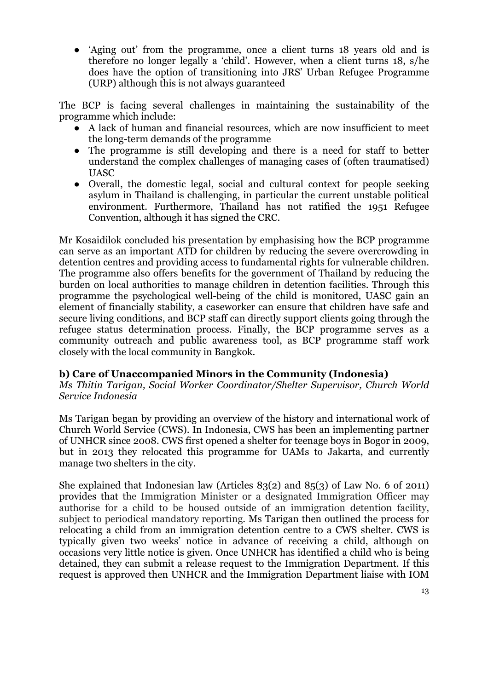● 'Aging out' from the programme, once a client turns 18 years old and is therefore no longer legally a 'child'. However, when a client turns 18, s/he does have the option of transitioning into JRS' Urban Refugee Programme (URP) although this is not always guaranteed

The BCP is facing several challenges in maintaining the sustainability of the programme which include:

- A lack of human and financial resources, which are now insufficient to meet the long-term demands of the programme
- The programme is still developing and there is a need for staff to better understand the complex challenges of managing cases of (often traumatised) UASC
- Overall, the domestic legal, social and cultural context for people seeking asylum in Thailand is challenging, in particular the current unstable political environment. Furthermore, Thailand has not ratified the 1951 Refugee Convention, although it has signed the CRC.

Mr Kosaidilok concluded his presentation by emphasising how the BCP programme can serve as an important ATD for children by reducing the severe overcrowding in detention centres and providing access to fundamental rights for vulnerable children. The programme also offers benefits for the government of Thailand by reducing the burden on local authorities to manage children in detention facilities. Through this programme the psychological well-being of the child is monitored, UASC gain an element of financially stability, a caseworker can ensure that children have safe and secure living conditions, and BCP staff can directly support clients going through the refugee status determination process. Finally, the BCP programme serves as a community outreach and public awareness tool, as BCP programme staff work closely with the local community in Bangkok.

#### **b) Care of Unaccompanied Minors in the Community (Indonesia)**

*Ms Thitin Tarigan, Social Worker Coordinator/Shelter Supervisor, Church World Service Indonesia*

Ms Tarigan began by providing an overview of the history and international work of Church World Service (CWS). In Indonesia, CWS has been an implementing partner of UNHCR since 2008. CWS first opened a shelter for teenage boys in Bogor in 2009, but in 2013 they relocated this programme for UAMs to Jakarta, and currently manage two shelters in the city.

She explained that Indonesian law (Articles 83(2) and 85(3) of Law No. 6 of 2011) provides that the Immigration Minister or a designated Immigration Officer may authorise for a child to be housed outside of an immigration detention facility, subject to periodical mandatory reporting. Ms Tarigan then outlined the process for relocating a child from an immigration detention centre to a CWS shelter. CWS is typically given two weeks' notice in advance of receiving a child, although on occasions very little notice is given. Once UNHCR has identified a child who is being detained, they can submit a release request to the Immigration Department. If this request is approved then UNHCR and the Immigration Department liaise with IOM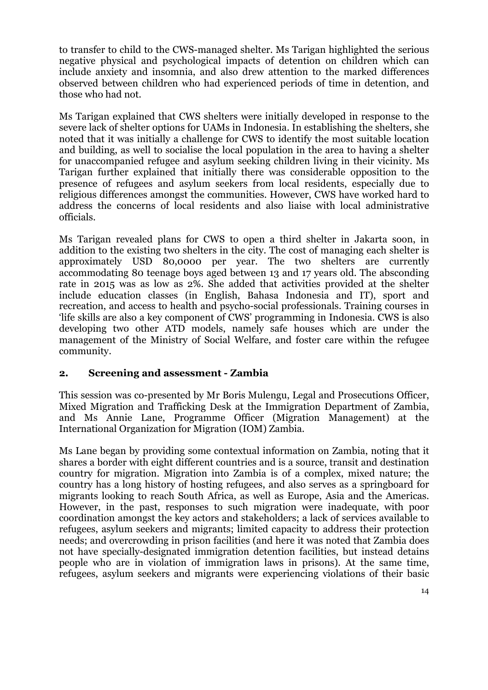to transfer to child to the CWS-managed shelter. Ms Tarigan highlighted the serious negative physical and psychological impacts of detention on children which can include anxiety and insomnia, and also drew attention to the marked differences observed between children who had experienced periods of time in detention, and those who had not.

Ms Tarigan explained that CWS shelters were initially developed in response to the severe lack of shelter options for UAMs in Indonesia. In establishing the shelters, she noted that it was initially a challenge for CWS to identify the most suitable location and building, as well to socialise the local population in the area to having a shelter for unaccompanied refugee and asylum seeking children living in their vicinity. Ms Tarigan further explained that initially there was considerable opposition to the presence of refugees and asylum seekers from local residents, especially due to religious differences amongst the communities. However, CWS have worked hard to address the concerns of local residents and also liaise with local administrative officials.

Ms Tarigan revealed plans for CWS to open a third shelter in Jakarta soon, in addition to the existing two shelters in the city. The cost of managing each shelter is approximately USD 80,0000 per year. The two shelters are currently accommodating 80 teenage boys aged between 13 and 17 years old. The absconding rate in 2015 was as low as 2%. She added that activities provided at the shelter include education classes (in English, Bahasa Indonesia and IT), sport and recreation, and access to health and psycho-social professionals. Training courses in 'life skills are also a key component of CWS' programming in Indonesia. CWS is also developing two other ATD models, namely safe houses which are under the management of the Ministry of Social Welfare, and foster care within the refugee community.

#### **2. Screening and assessment - Zambia**

This session was co-presented by Mr Boris Mulengu, Legal and Prosecutions Officer, Mixed Migration and Trafficking Desk at the Immigration Department of Zambia, and Ms Annie Lane, Programme Officer (Migration Management) at the International Organization for Migration (IOM) Zambia.

Ms Lane began by providing some contextual information on Zambia, noting that it shares a border with eight different countries and is a source, transit and destination country for migration. Migration into Zambia is of a complex, mixed nature; the country has a long history of hosting refugees, and also serves as a springboard for migrants looking to reach South Africa, as well as Europe, Asia and the Americas. However, in the past, responses to such migration were inadequate, with poor coordination amongst the key actors and stakeholders; a lack of services available to refugees, asylum seekers and migrants; limited capacity to address their protection needs; and overcrowding in prison facilities (and here it was noted that Zambia does not have specially-designated immigration detention facilities, but instead detains people who are in violation of immigration laws in prisons). At the same time, refugees, asylum seekers and migrants were experiencing violations of their basic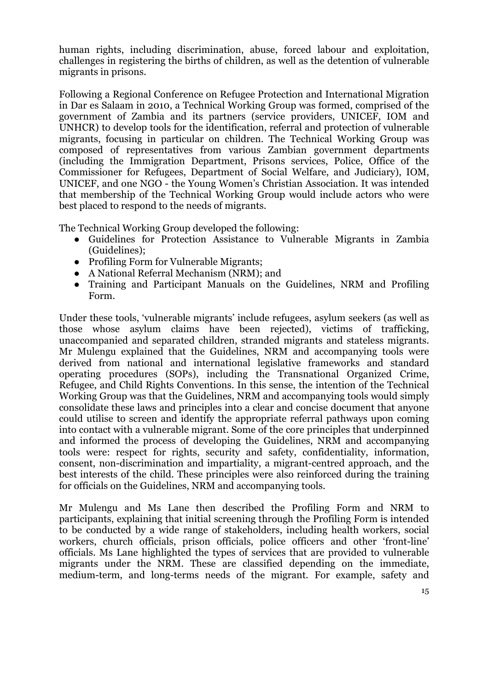human rights, including discrimination, abuse, forced labour and exploitation, challenges in registering the births of children, as well as the detention of vulnerable migrants in prisons.

Following a Regional Conference on Refugee Protection and International Migration in Dar es Salaam in 2010, a Technical Working Group was formed, comprised of the government of Zambia and its partners (service providers, UNICEF, IOM and UNHCR) to develop tools for the identification, referral and protection of vulnerable migrants, focusing in particular on children. The Technical Working Group was composed of representatives from various Zambian government departments (including the Immigration Department, Prisons services, Police, Office of the Commissioner for Refugees, Department of Social Welfare, and Judiciary), IOM, UNICEF, and one NGO - the Young Women's Christian Association. It was intended that membership of the Technical Working Group would include actors who were best placed to respond to the needs of migrants.

The Technical Working Group developed the following:

- Guidelines for Protection Assistance to Vulnerable Migrants in Zambia (Guidelines);
- Profiling Form for Vulnerable Migrants;
- A National Referral Mechanism (NRM); and
- Training and Participant Manuals on the Guidelines, NRM and Profiling Form.

Under these tools, 'vulnerable migrants' include refugees, asylum seekers (as well as those whose asylum claims have been rejected), victims of trafficking, unaccompanied and separated children, stranded migrants and stateless migrants. Mr Mulengu explained that the Guidelines, NRM and accompanying tools were derived from national and international legislative frameworks and standard operating procedures (SOPs), including the Transnational Organized Crime, Refugee, and Child Rights Conventions. In this sense, the intention of the Technical Working Group was that the Guidelines, NRM and accompanying tools would simply consolidate these laws and principles into a clear and concise document that anyone could utilise to screen and identify the appropriate referral pathways upon coming into contact with a vulnerable migrant. Some of the core principles that underpinned and informed the process of developing the Guidelines, NRM and accompanying tools were: respect for rights, security and safety, confidentiality, information, consent, non-discrimination and impartiality, a migrant-centred approach, and the best interests of the child. These principles were also reinforced during the training for officials on the Guidelines, NRM and accompanying tools.

Mr Mulengu and Ms Lane then described the Profiling Form and NRM to participants, explaining that initial screening through the Profiling Form is intended to be conducted by a wide range of stakeholders, including health workers, social workers, church officials, prison officials, police officers and other 'front-line' officials. Ms Lane highlighted the types of services that are provided to vulnerable migrants under the NRM. These are classified depending on the immediate, medium-term, and long-terms needs of the migrant. For example, safety and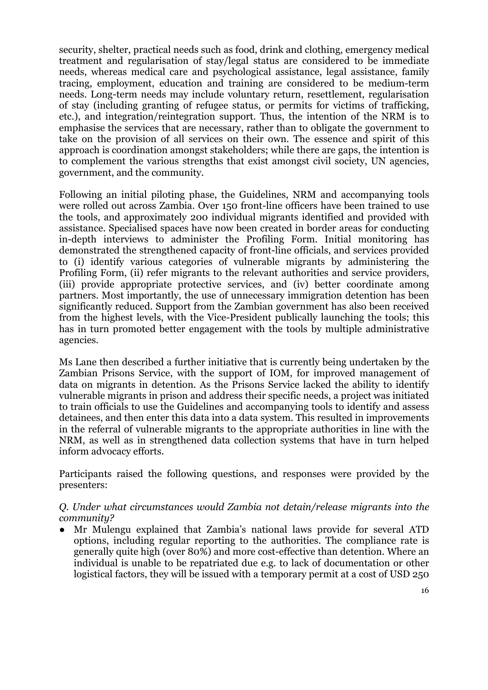security, shelter, practical needs such as food, drink and clothing, emergency medical treatment and regularisation of stay/legal status are considered to be immediate needs, whereas medical care and psychological assistance, legal assistance, family tracing, employment, education and training are considered to be medium-term needs. Long-term needs may include voluntary return, resettlement, regularisation of stay (including granting of refugee status, or permits for victims of trafficking, etc.), and integration/reintegration support. Thus, the intention of the NRM is to emphasise the services that are necessary, rather than to obligate the government to take on the provision of all services on their own. The essence and spirit of this approach is coordination amongst stakeholders; while there are gaps, the intention is to complement the various strengths that exist amongst civil society, UN agencies, government, and the community.

Following an initial piloting phase, the Guidelines, NRM and accompanying tools were rolled out across Zambia. Over 150 front-line officers have been trained to use the tools, and approximately 200 individual migrants identified and provided with assistance. Specialised spaces have now been created in border areas for conducting in-depth interviews to administer the Profiling Form. Initial monitoring has demonstrated the strengthened capacity of front-line officials, and services provided to (i) identify various categories of vulnerable migrants by administering the Profiling Form, (ii) refer migrants to the relevant authorities and service providers, (iii) provide appropriate protective services, and (iv) better coordinate among partners. Most importantly, the use of unnecessary immigration detention has been significantly reduced. Support from the Zambian government has also been received from the highest levels, with the Vice-President publically launching the tools; this has in turn promoted better engagement with the tools by multiple administrative agencies.

Ms Lane then described a further initiative that is currently being undertaken by the Zambian Prisons Service, with the support of IOM, for improved management of data on migrants in detention. As the Prisons Service lacked the ability to identify vulnerable migrants in prison and address their specific needs, a project was initiated to train officials to use the Guidelines and accompanying tools to identify and assess detainees, and then enter this data into a data system. This resulted in improvements in the referral of vulnerable migrants to the appropriate authorities in line with the NRM, as well as in strengthened data collection systems that have in turn helped inform advocacy efforts.

Participants raised the following questions, and responses were provided by the presenters:

#### *Q. Under what circumstances would Zambia not detain/release migrants into the community?*

Mr Mulengu explained that Zambia's national laws provide for several ATD options, including regular reporting to the authorities. The compliance rate is generally quite high (over 80%) and more cost-effective than detention. Where an individual is unable to be repatriated due e.g. to lack of documentation or other logistical factors, they will be issued with a temporary permit at a cost of USD 250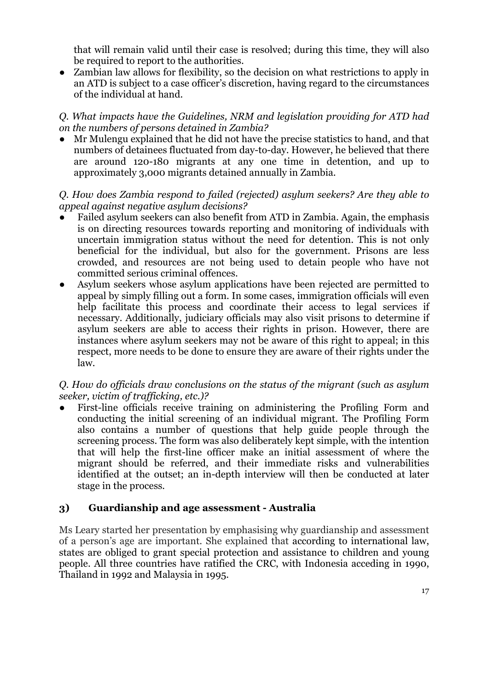that will remain valid until their case is resolved; during this time, they will also be required to report to the authorities.

Zambian law allows for flexibility, so the decision on what restrictions to apply in an ATD is subject to a case officer's discretion, having regard to the circumstances of the individual at hand.

*Q. What impacts have the Guidelines, NRM and legislation providing for ATD had on the numbers of persons detained in Zambia?*

Mr Mulengu explained that he did not have the precise statistics to hand, and that numbers of detainees fluctuated from day-to-day. However, he believed that there are around 120-180 migrants at any one time in detention, and up to approximately 3,000 migrants detained annually in Zambia.

#### *Q. How does Zambia respond to failed (rejected) asylum seekers? Are they able to appeal against negative asylum decisions?*

- Failed asylum seekers can also benefit from ATD in Zambia. Again, the emphasis is on directing resources towards reporting and monitoring of individuals with uncertain immigration status without the need for detention. This is not only beneficial for the individual, but also for the government. Prisons are less crowded, and resources are not being used to detain people who have not committed serious criminal offences.
- Asylum seekers whose asylum applications have been rejected are permitted to appeal by simply filling out a form. In some cases, immigration officials will even help facilitate this process and coordinate their access to legal services if necessary. Additionally, judiciary officials may also visit prisons to determine if asylum seekers are able to access their rights in prison. However, there are instances where asylum seekers may not be aware of this right to appeal; in this respect, more needs to be done to ensure they are aware of their rights under the law.

#### *Q. How do officials draw conclusions on the status of the migrant (such as asylum seeker, victim of trafficking, etc.)?*

First-line officials receive training on administering the Profiling Form and conducting the initial screening of an individual migrant. The Profiling Form also contains a number of questions that help guide people through the screening process. The form was also deliberately kept simple, with the intention that will help the first-line officer make an initial assessment of where the migrant should be referred, and their immediate risks and vulnerabilities identified at the outset; an in-depth interview will then be conducted at later stage in the process.

#### **3) Guardianship and age assessment - Australia**

Ms Leary started her presentation by emphasising why guardianship and assessment of a person's age are important. She explained that according to international law, states are obliged to grant special protection and assistance to children and young people. All three countries have ratified the CRC, with Indonesia acceding in 1990, Thailand in 1992 and Malaysia in 1995.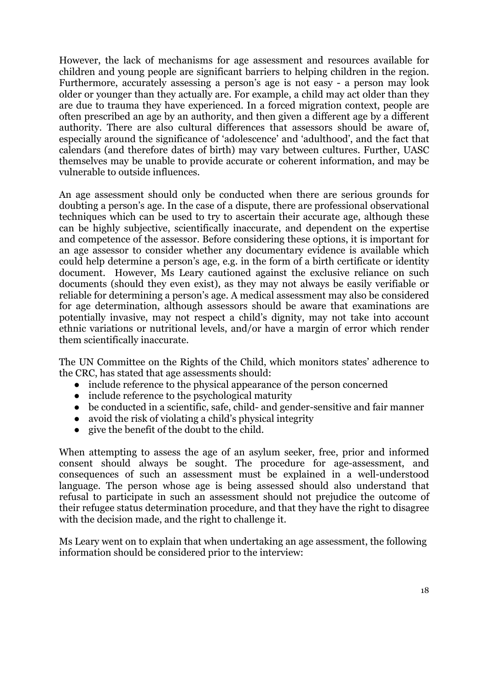However, the lack of mechanisms for age assessment and resources available for children and young people are significant barriers to helping children in the region. Furthermore, accurately assessing a person's age is not easy - a person may look older or younger than they actually are. For example, a child may act older than they are due to trauma they have experienced. In a forced migration context, people are often prescribed an age by an authority, and then given a different age by a different authority. There are also cultural differences that assessors should be aware of, especially around the significance of 'adolescence' and 'adulthood', and the fact that calendars (and therefore dates of birth) may vary between cultures. Further, UASC themselves may be unable to provide accurate or coherent information, and may be vulnerable to outside influences.

An age assessment should only be conducted when there are serious grounds for doubting a person's age. In the case of a dispute, there are professional observational techniques which can be used to try to ascertain their accurate age, although these can be highly subjective, scientifically inaccurate, and dependent on the expertise and competence of the assessor. Before considering these options, it is important for an age assessor to consider whether any documentary evidence is available which could help determine a person's age, e.g. in the form of a birth certificate or identity document. However, Ms Leary cautioned against the exclusive reliance on such documents (should they even exist), as they may not always be easily verifiable or reliable for determining a person's age. A medical assessment may also be considered for age determination, although assessors should be aware that examinations are potentially invasive, may not respect a child's dignity, may not take into account ethnic variations or nutritional levels, and/or have a margin of error which render them scientifically inaccurate.

The UN Committee on the Rights of the Child, which monitors states' adherence to the CRC, has stated that age assessments should:

- include reference to the physical appearance of the person concerned
- include reference to the psychological maturity
- be conducted in a scientific, safe, child- and gender-sensitive and fair manner
- avoid the risk of violating a child's physical integrity
- give the benefit of the doubt to the child.

When attempting to assess the age of an asylum seeker, free, prior and informed consent should always be sought. The procedure for age-assessment, and consequences of such an assessment must be explained in a well-understood language. The person whose age is being assessed should also understand that refusal to participate in such an assessment should not prejudice the outcome of their refugee status determination procedure, and that they have the right to disagree with the decision made, and the right to challenge it.

Ms Leary went on to explain that when undertaking an age assessment, the following information should be considered prior to the interview: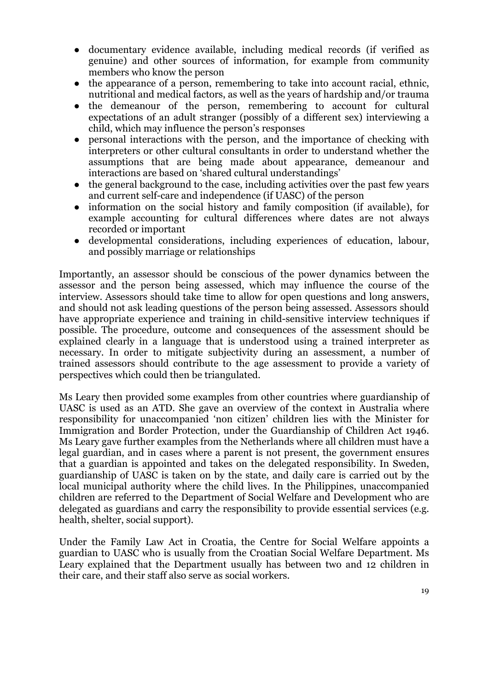- documentary evidence available, including medical records (if verified as genuine) and other sources of information, for example from community members who know the person
- the appearance of a person, remembering to take into account racial, ethnic, nutritional and medical factors, as well as the years of hardship and/or trauma
- the demeanour of the person, remembering to account for cultural expectations of an adult stranger (possibly of a different sex) interviewing a child, which may influence the person's responses
- personal interactions with the person, and the importance of checking with interpreters or other cultural consultants in order to understand whether the assumptions that are being made about appearance, demeanour and interactions are based on 'shared cultural understandings'
- the general background to the case, including activities over the past few years and current self-care and independence (if UASC) of the person
- information on the social history and family composition (if available), for example accounting for cultural differences where dates are not always recorded or important
- developmental considerations, including experiences of education, labour, and possibly marriage or relationships

Importantly, an assessor should be conscious of the power dynamics between the assessor and the person being assessed, which may influence the course of the interview. Assessors should take time to allow for open questions and long answers, and should not ask leading questions of the person being assessed. Assessors should have appropriate experience and training in child-sensitive interview techniques if possible. The procedure, outcome and consequences of the assessment should be explained clearly in a language that is understood using a trained interpreter as necessary. In order to mitigate subjectivity during an assessment, a number of trained assessors should contribute to the age assessment to provide a variety of perspectives which could then be triangulated.

Ms Leary then provided some examples from other countries where guardianship of UASC is used as an ATD. She gave an overview of the context in Australia where responsibility for unaccompanied 'non citizen' children lies with the Minister for Immigration and Border Protection, under the Guardianship of Children Act 1946. Ms Leary gave further examples from the Netherlands where all children must have a legal guardian, and in cases where a parent is not present, the government ensures that a guardian is appointed and takes on the delegated responsibility. In Sweden, guardianship of UASC is taken on by the state, and daily care is carried out by the local municipal authority where the child lives. In the Philippines, unaccompanied children are referred to the Department of Social Welfare and Development who are delegated as guardians and carry the responsibility to provide essential services (e.g. health, shelter, social support).

Under the Family Law Act in Croatia, the Centre for Social Welfare appoints a guardian to UASC who is usually from the Croatian Social Welfare Department. Ms Leary explained that the Department usually has between two and 12 children in their care, and their staff also serve as social workers.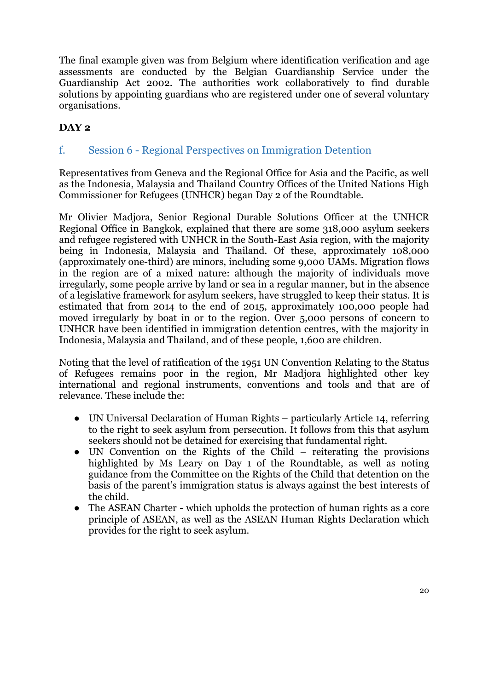The final example given was from Belgium where identification verification and age assessments are conducted by the Belgian Guardianship Service under the Guardianship Act 2002. The authorities work collaboratively to find durable solutions by appointing guardians who are registered under one of several voluntary organisations.

## **DAY 2**

f. Session 6 - Regional Perspectives on Immigration Detention

Representatives from Geneva and the Regional Office for Asia and the Pacific, as well as the Indonesia, Malaysia and Thailand Country Offices of the United Nations High Commissioner for Refugees (UNHCR) began Day 2 of the Roundtable.

Mr Olivier Madjora, Senior Regional Durable Solutions Officer at the UNHCR Regional Office in Bangkok, explained that there are some 318,000 asylum seekers and refugee registered with UNHCR in the South-East Asia region, with the majority being in Indonesia, Malaysia and Thailand. Of these, approximately 108,000 (approximately one-third) are minors, including some 9,000 UAMs. Migration flows in the region are of a mixed nature: although the majority of individuals move irregularly, some people arrive by land or sea in a regular manner, but in the absence of a legislative framework for asylum seekers, have struggled to keep their status. It is estimated that from 2014 to the end of 2015, approximately 100,000 people had moved irregularly by boat in or to the region. Over 5,000 persons of concern to UNHCR have been identified in immigration detention centres, with the majority in Indonesia, Malaysia and Thailand, and of these people, 1,600 are children.

Noting that the level of ratification of the 1951 UN Convention Relating to the Status of Refugees remains poor in the region, Mr Madjora highlighted other key international and regional instruments, conventions and tools and that are of relevance. These include the:

- UN Universal Declaration of Human Rights particularly Article 14, referring to the right to seek asylum from persecution. It follows from this that asylum seekers should not be detained for exercising that fundamental right.
- UN Convention on the Rights of the Child reiterating the provisions highlighted by Ms Leary on Day 1 of the Roundtable, as well as noting guidance from the Committee on the Rights of the Child that detention on the basis of the parent's immigration status is always against the best interests of the child.
- The ASEAN Charter which upholds the protection of human rights as a core principle of ASEAN, as well as the ASEAN Human Rights Declaration which provides for the right to seek asylum.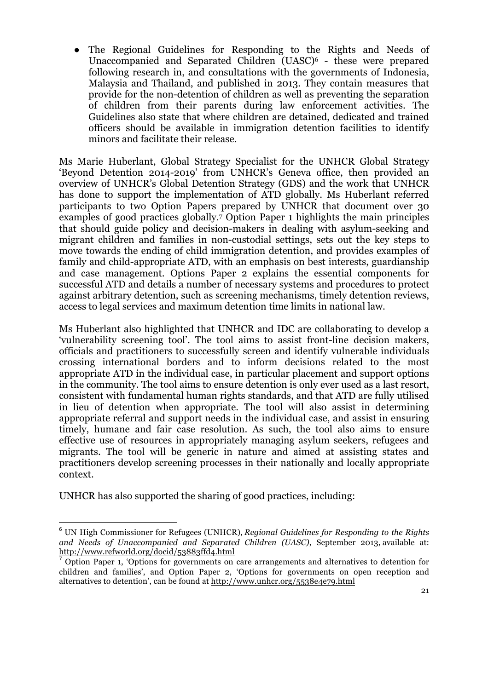The Regional Guidelines for Responding to the Rights and Needs of Unaccompanied and Separated Children (UASC)<sup>6</sup> - these were prepared following research in, and consultations with the governments of Indonesia, Malaysia and Thailand, and published in 2013. They contain measures that provide for the non-detention of children as well as preventing the separation of children from their parents during law enforcement activities. The Guidelines also state that where children are detained, dedicated and trained officers should be available in immigration detention facilities to identify minors and facilitate their release.

Ms Marie Huberlant, Global Strategy Specialist for the UNHCR Global Strategy 'Beyond Detention 2014-2019' from UNHCR's Geneva office, then provided an overview of UNHCR's Global Detention Strategy (GDS) and the work that UNHCR has done to support the implementation of ATD globally. Ms Huberlant referred participants to two Option Papers prepared by UNHCR that document over 30 examples of good practices globally.7 Option Paper 1 highlights the main principles that should guide policy and decision-makers in dealing with asylum-seeking and migrant children and families in non-custodial settings, sets out the key steps to move towards the ending of child immigration detention, and provides examples of family and child-appropriate ATD, with an emphasis on best interests, guardianship and case management. Options Paper 2 explains the essential components for successful ATD and details a number of necessary systems and procedures to protect against arbitrary detention, such as screening mechanisms, timely detention reviews, access to legal services and maximum detention time limits in national law.

Ms Huberlant also highlighted that UNHCR and IDC are collaborating to develop a 'vulnerability screening tool'. The tool aims to assist front-line decision makers, officials and practitioners to successfully screen and identify vulnerable individuals crossing international borders and to inform decisions related to the most appropriate ATD in the individual case, in particular placement and support options in the community. The tool aims to ensure detention is only ever used as a last resort, consistent with fundamental human rights standards, and that ATD are fully utilised in lieu of detention when appropriate. The tool will also assist in determining appropriate referral and support needs in the individual case, and assist in ensuring timely, humane and fair case resolution. As such, the tool also aims to ensure effective use of resources in appropriately managing asylum seekers, refugees and migrants. The tool will be generic in nature and aimed at assisting states and practitioners develop screening processes in their nationally and locally appropriate context.

UNHCR has also supported the sharing of good practices, including:

<u> 1989 - Jan Samuel Barbara, margaret e</u>

<sup>6</sup> UN High Commissioner for Refugees (UNHCR), *Regional Guidelines for Responding to the Rights and Needs of Unaccompanied and Separated Children (UASC)*, September 2013, available at: http://www.refworld.org/docid/53883ffd4.html

 $<sup>7</sup>$  Option Paper 1, 'Options for governments on care arrangements and alternatives to detention for</sup> children and families', and Option Paper 2, 'Options for governments on open reception and alternatives to detention', can be found at http://www.unhcr.org/5538e4e79.html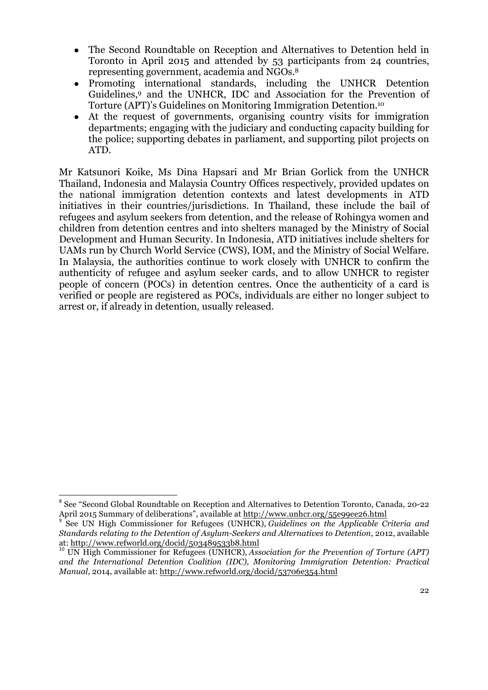- The Second Roundtable on Reception and Alternatives to Detention held in Toronto in April 2015 and attended by 53 participants from 24 countries, representing government, academia and NGOs.8
- Promoting international standards, including the UNHCR Detention Guidelines,9 and the UNHCR, IDC and Association for the Prevention of Torture (APT)'s Guidelines on Monitoring Immigration Detention.10
- At the request of governments, organising country visits for immigration departments; engaging with the judiciary and conducting capacity building for the police; supporting debates in parliament, and supporting pilot projects on ATD.

Mr Katsunori Koike, Ms Dina Hapsari and Mr Brian Gorlick from the UNHCR Thailand, Indonesia and Malaysia Country Offices respectively, provided updates on the national immigration detention contexts and latest developments in ATD initiatives in their countries/jurisdictions. In Thailand, these include the bail of refugees and asylum seekers from detention, and the release of Rohingya women and children from detention centres and into shelters managed by the Ministry of Social Development and Human Security. In Indonesia, ATD initiatives include shelters for UAMs run by Church World Service (CWS), IOM, and the Ministry of Social Welfare. In Malaysia, the authorities continue to work closely with UNHCR to confirm the authenticity of refugee and asylum seeker cards, and to allow UNHCR to register people of concern (POCs) in detention centres. Once the authenticity of a card is verified or people are registered as POCs, individuals are either no longer subject to arrest or, if already in detention, usually released.

 <sup>8</sup> See "Second Global Roundtable on Reception and Alternatives to Detention Toronto, Canada, 20-22 April 2015 Summary of deliberations", available at http://www.unhcr.org/55e99ee26.html<br><sup>9</sup> See UN High Commissioner for Refugees (UNHCR), *Guidelines on the Applicable Criteria and* 

*Standards relating to the Detention of Asylum-Seekers and Alternatives to Detention*, 2012, available at: http://www.refworld.org/docid/503489533b8.html<br><sup>10</sup> UN High Commissioner for Refugees (UNHCR), *Association for the Prevention of Torture (APT)* 

*and the International Detention Coalition (IDC), Monitoring Immigration Detention: Practical Manual*, 2014, available at: http://www.refworld.org/docid/53706e354.html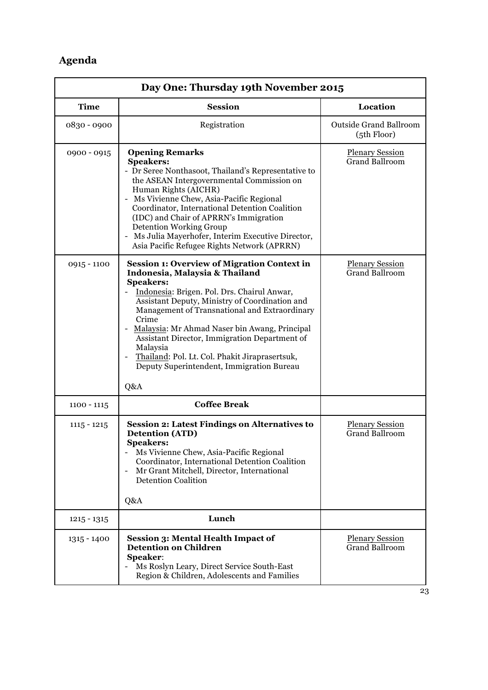# **Agenda**

| Day One: Thursday 19th November 2015 |                                                                                                                                                                                                                                                                                                                                                                                                                                                                                                                                           |                                                 |  |
|--------------------------------------|-------------------------------------------------------------------------------------------------------------------------------------------------------------------------------------------------------------------------------------------------------------------------------------------------------------------------------------------------------------------------------------------------------------------------------------------------------------------------------------------------------------------------------------------|-------------------------------------------------|--|
| <b>Time</b>                          | <b>Session</b>                                                                                                                                                                                                                                                                                                                                                                                                                                                                                                                            | Location                                        |  |
| 0830 - 0900                          | Registration                                                                                                                                                                                                                                                                                                                                                                                                                                                                                                                              | <b>Outside Grand Ballroom</b><br>(5th Floor)    |  |
| 0900 - 0915                          | <b>Opening Remarks</b><br><b>Speakers:</b><br>- Dr Seree Nonthasoot, Thailand's Representative to<br>the ASEAN Intergovernmental Commission on<br>Human Rights (AICHR)<br>- Ms Vivienne Chew, Asia-Pacific Regional<br>Coordinator, International Detention Coalition<br>(IDC) and Chair of APRRN's Immigration<br><b>Detention Working Group</b><br>- Ms Julia Mayerhofer, Interim Executive Director,<br>Asia Pacific Refugee Rights Network (APRRN)                                                                                    | <b>Plenary Session</b><br><b>Grand Ballroom</b> |  |
| $0915 - 1100$                        | <b>Session 1: Overview of Migration Context in</b><br>Indonesia, Malaysia & Thailand<br><b>Speakers:</b><br>Indonesia: Brigen. Pol. Drs. Chairul Anwar,<br>Assistant Deputy, Ministry of Coordination and<br>Management of Transnational and Extraordinary<br>Crime<br>Malaysia: Mr Ahmad Naser bin Awang, Principal<br>$\qquad \qquad \blacksquare$<br>Assistant Director, Immigration Department of<br>Malaysia<br>Thailand: Pol. Lt. Col. Phakit Jiraprasertsuk,<br>$\overline{a}$<br>Deputy Superintendent, Immigration Bureau<br>Q&A | <b>Plenary Session</b><br><b>Grand Ballroom</b> |  |
| $1100 - 1115$                        | <b>Coffee Break</b>                                                                                                                                                                                                                                                                                                                                                                                                                                                                                                                       |                                                 |  |
| $1115 - 1215$                        | <b>Session 2: Latest Findings on Alternatives to</b><br><b>Detention (ATD)</b><br><b>Speakers:</b><br>Ms Vivienne Chew, Asia-Pacific Regional<br>Coordinator, International Detention Coalition<br>Mr Grant Mitchell, Director, International<br>$\overline{\phantom{a}}$<br><b>Detention Coalition</b><br>Q&A                                                                                                                                                                                                                            | <b>Plenary Session</b><br><b>Grand Ballroom</b> |  |
| $1215 - 1315$                        | Lunch                                                                                                                                                                                                                                                                                                                                                                                                                                                                                                                                     |                                                 |  |
| 1315 - 1400                          | <b>Session 3: Mental Health Impact of</b><br><b>Detention on Children</b><br><b>Speaker:</b><br>Ms Roslyn Leary, Direct Service South-East<br>Region & Children, Adolescents and Families                                                                                                                                                                                                                                                                                                                                                 | <b>Plenary Session</b><br><b>Grand Ballroom</b> |  |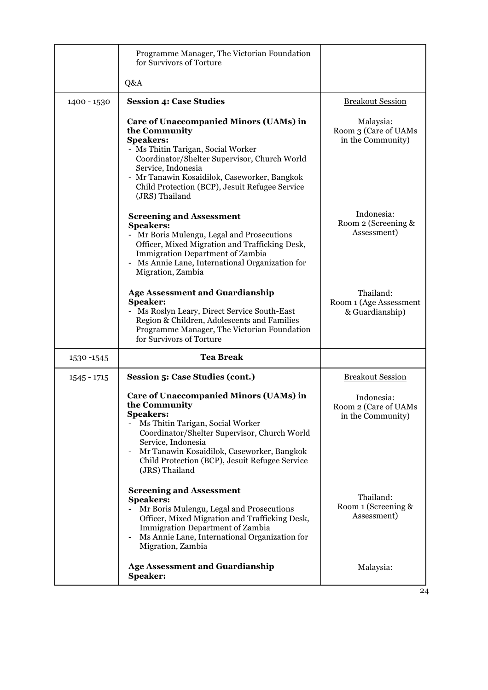|               | Programme Manager, The Victorian Foundation<br>for Survivors of Torture                                                                                                                                                                                                                                            |                                                         |
|---------------|--------------------------------------------------------------------------------------------------------------------------------------------------------------------------------------------------------------------------------------------------------------------------------------------------------------------|---------------------------------------------------------|
|               | Q&A                                                                                                                                                                                                                                                                                                                |                                                         |
| 1400 - 1530   | <b>Session 4: Case Studies</b>                                                                                                                                                                                                                                                                                     | <b>Breakout Session</b>                                 |
|               | <b>Care of Unaccompanied Minors (UAMs) in</b><br>the Community<br><b>Speakers:</b><br>- Ms Thitin Tarigan, Social Worker<br>Coordinator/Shelter Supervisor, Church World<br>Service, Indonesia<br>- Mr Tanawin Kosaidilok, Caseworker, Bangkok<br>Child Protection (BCP), Jesuit Refugee Service<br>(JRS) Thailand | Malaysia:<br>Room 3 (Care of UAMs<br>in the Community)  |
|               | <b>Screening and Assessment</b><br><b>Speakers:</b><br>- Mr Boris Mulengu, Legal and Prosecutions<br>Officer, Mixed Migration and Trafficking Desk,<br><b>Immigration Department of Zambia</b><br>- Ms Annie Lane, International Organization for<br>Migration, Zambia                                             | Indonesia:<br>Room 2 (Screening &<br>Assessment)        |
|               | <b>Age Assessment and Guardianship</b><br><b>Speaker:</b><br>Ms Roslyn Leary, Direct Service South-East<br>Region & Children, Adolescents and Families<br>Programme Manager, The Victorian Foundation<br>for Survivors of Torture                                                                                  | Thailand:<br>Room 1 (Age Assessment<br>& Guardianship)  |
| 1530-1545     | <b>Tea Break</b>                                                                                                                                                                                                                                                                                                   |                                                         |
| $1545 - 1715$ | <b>Session 5: Case Studies (cont.)</b>                                                                                                                                                                                                                                                                             | <b>Breakout Session</b>                                 |
|               | Care of Unaccompanied Minors (UAMs) in<br>the Community<br><b>Speakers:</b><br>Ms Thitin Tarigan, Social Worker<br>Coordinator/Shelter Supervisor, Church World<br>Service, Indonesia<br>Mr Tanawin Kosaidilok, Caseworker, Bangkok<br>Child Protection (BCP), Jesuit Refugee Service<br>(JRS) Thailand            | Indonesia:<br>Room 2 (Care of UAMs<br>in the Community) |
|               | <b>Screening and Assessment</b><br><b>Speakers:</b><br>Mr Boris Mulengu, Legal and Prosecutions<br>Officer, Mixed Migration and Trafficking Desk,<br><b>Immigration Department of Zambia</b><br>Ms Annie Lane, International Organization for<br>Migration, Zambia                                                 | Thailand:<br>Room 1 (Screening &<br>Assessment)         |
|               | <b>Age Assessment and Guardianship</b><br>Speaker:                                                                                                                                                                                                                                                                 | Malaysia:                                               |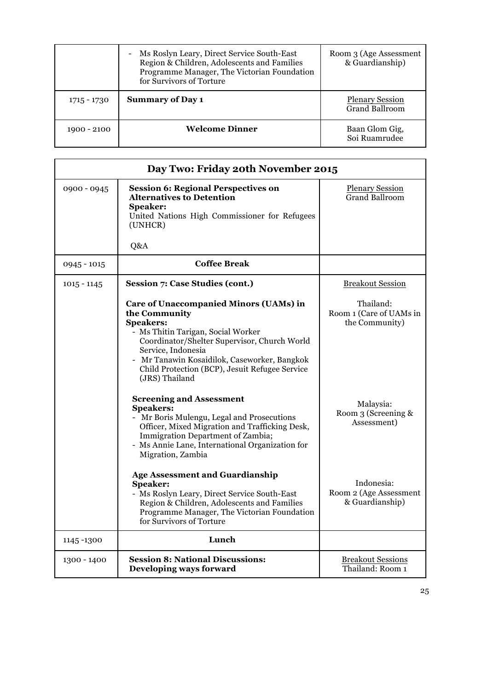|             | Ms Roslyn Leary, Direct Service South-East<br>-<br>Region & Children, Adolescents and Families<br>Programme Manager, The Victorian Foundation<br>for Survivors of Torture | Room 3 (Age Assessment<br>& Guardianship)       |
|-------------|---------------------------------------------------------------------------------------------------------------------------------------------------------------------------|-------------------------------------------------|
| 1715 - 1730 | <b>Summary of Day 1</b>                                                                                                                                                   | <b>Plenary Session</b><br><b>Grand Ballroom</b> |
| 1900 - 2100 | <b>Welcome Dinner</b>                                                                                                                                                     | Baan Glom Gig,<br>Soi Ruamrudee                 |

| Day Two: Friday 20th November 2015 |                                                                                                                                                                                                                                                                                                                                                       |                                                                     |
|------------------------------------|-------------------------------------------------------------------------------------------------------------------------------------------------------------------------------------------------------------------------------------------------------------------------------------------------------------------------------------------------------|---------------------------------------------------------------------|
| 0900 - 0945                        | <b>Session 6: Regional Perspectives on</b><br><b>Alternatives to Detention</b><br><b>Speaker:</b><br>United Nations High Commissioner for Refugees<br>(UNHCR)<br>Q&A                                                                                                                                                                                  | <b>Plenary Session</b><br><b>Grand Ballroom</b>                     |
| $0945 - 1015$                      | <b>Coffee Break</b>                                                                                                                                                                                                                                                                                                                                   |                                                                     |
| $1015 - 1145$                      | <b>Session 7: Case Studies (cont.)</b>                                                                                                                                                                                                                                                                                                                | <b>Breakout Session</b>                                             |
|                                    | <b>Care of Unaccompanied Minors (UAMs) in</b><br>the Community<br><b>Speakers:</b><br>- Ms Thitin Tarigan, Social Worker<br>Coordinator/Shelter Supervisor, Church World<br>Service, Indonesia<br>- Mr Tanawin Kosaidilok, Caseworker, Bangkok<br>Child Protection (BCP), Jesuit Refugee Service<br>(JRS) Thailand<br><b>Screening and Assessment</b> | Thailand:<br>Room 1 (Care of UAMs in<br>the Community)<br>Malaysia: |
|                                    | <b>Speakers:</b><br>- Mr Boris Mulengu, Legal and Prosecutions<br>Officer, Mixed Migration and Trafficking Desk,<br>Immigration Department of Zambia;<br>- Ms Annie Lane, International Organization for<br>Migration, Zambia<br><b>Age Assessment and Guardianship</b><br>Speaker:                                                                   | Room 3 (Screening &<br>Assessment)<br>Indonesia:                    |
|                                    | - Ms Roslyn Leary, Direct Service South-East<br>Region & Children, Adolescents and Families<br>Programme Manager, The Victorian Foundation<br>for Survivors of Torture                                                                                                                                                                                | Room 2 (Age Assessment<br>& Guardianship)                           |
| 1145-1300                          | Lunch                                                                                                                                                                                                                                                                                                                                                 |                                                                     |
| 1300 - 1400                        | <b>Session 8: National Discussions:</b><br>Developing ways forward                                                                                                                                                                                                                                                                                    | <b>Breakout Sessions</b><br>Thailand: Room 1                        |